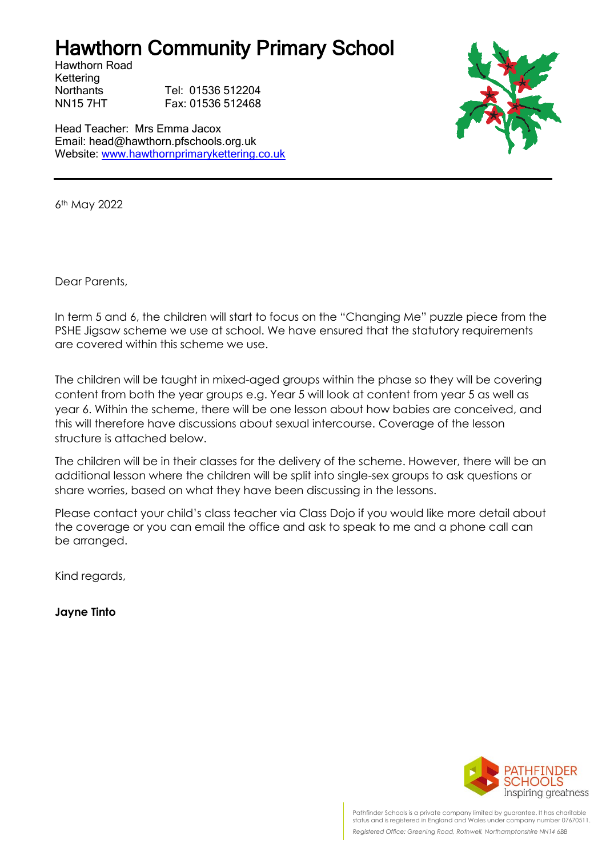## Hawthorn Community Primary School

Hawthorn Road Kettering

Northants Tel: 01536 512204 NN15 7HT Fax: 01536 512468

Head Teacher: Mrs Emma Jacox Email: head@hawthorn.pfschools.org.uk Website: [www.hawthornprimarykettering.co.uk](http://www.hawthornprimarykettering.co.uk/)



6th May 2022

Dear Parents,

In term 5 and 6, the children will start to focus on the "Changing Me" puzzle piece from the PSHE Jigsaw scheme we use at school. We have ensured that the statutory requirements are covered within this scheme we use.

The children will be taught in mixed-aged groups within the phase so they will be covering content from both the year groups e.g. Year 5 will look at content from year 5 as well as year 6. Within the scheme, there will be one lesson about how babies are conceived, and this will therefore have discussions about sexual intercourse. Coverage of the lesson structure is attached below.

The children will be in their classes for the delivery of the scheme. However, there will be an additional lesson where the children will be split into single-sex groups to ask questions or share worries, based on what they have been discussing in the lessons.

Please contact your child's class teacher via Class Dojo if you would like more detail about the coverage or you can email the office and ask to speak to me and a phone call can be arranged.

Kind regards,

**Jayne Tinto**



Pathfinder Schools is a private company limited by guarantee. It has charitable status and is registered in England and Wales under company number 07670511. *Registered Office: Greening Road, Rothwell, Northamptonshire NN14 6BB*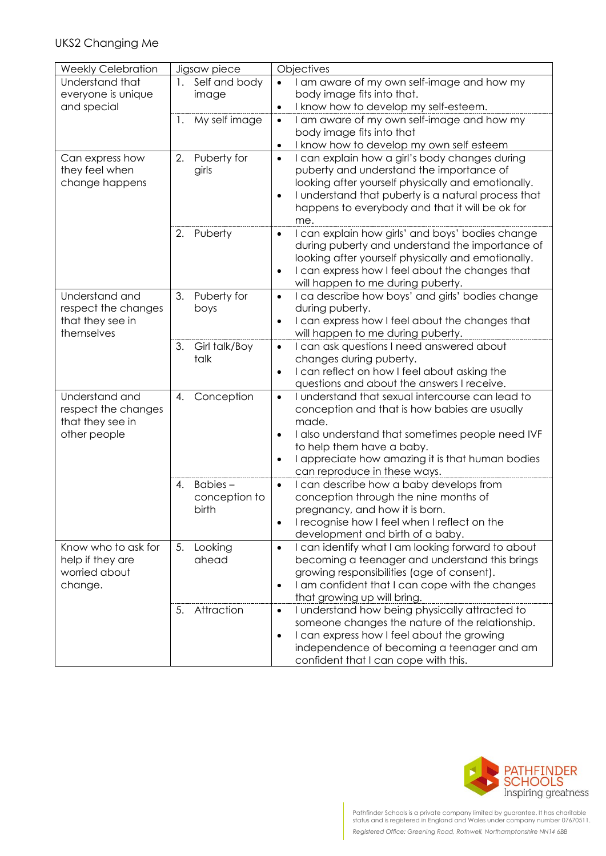## UKS2 Changing Me

| <b>Weekly Celebration</b> | Jigsaw piece        | Objectives                                                                                                         |
|---------------------------|---------------------|--------------------------------------------------------------------------------------------------------------------|
| Understand that           | 1. Self and body    | I am aware of my own self-image and how my<br>$\bullet$                                                            |
| everyone is unique        | image               | body image fits into that.                                                                                         |
| and special               |                     | I know how to develop my self-esteem.<br>$\bullet$                                                                 |
|                           | My self image<br>1. | I am aware of my own self-image and how my<br>$\bullet$                                                            |
|                           |                     | body image fits into that                                                                                          |
|                           |                     | I know how to develop my own self esteem<br>$\bullet$                                                              |
| Can express how           | 2.<br>Puberty for   | I can explain how a girl's body changes during<br>$\bullet$                                                        |
| they feel when            | girls               | puberty and understand the importance of                                                                           |
| change happens            |                     | looking after yourself physically and emotionally.                                                                 |
|                           |                     | I understand that puberty is a natural process that<br>$\bullet$                                                   |
|                           |                     | happens to everybody and that it will be ok for                                                                    |
|                           |                     | me.                                                                                                                |
|                           | Puberty<br>2.       | I can explain how girls' and boys' bodies change<br>$\bullet$                                                      |
|                           |                     | during puberty and understand the importance of                                                                    |
|                           |                     | looking after yourself physically and emotionally.<br>I can express how I feel about the changes that<br>$\bullet$ |
|                           |                     | will happen to me during puberty.                                                                                  |
| Understand and            | 3.<br>Puberty for   | I ca describe how boys' and girls' bodies change<br>$\bullet$                                                      |
| respect the changes       | boys                | during puberty.                                                                                                    |
| that they see in          |                     | I can express how I feel about the changes that<br>$\bullet$                                                       |
| themselves                |                     | will happen to me during puberty.                                                                                  |
|                           | 3.<br>Girl talk/Boy | I can ask questions I need answered about<br>$\bullet$                                                             |
|                           | talk                | changes during puberty.                                                                                            |
|                           |                     | I can reflect on how I feel about asking the<br>$\bullet$                                                          |
|                           |                     | questions and about the answers I receive.                                                                         |
| Understand and            | Conception<br>4.    | I understand that sexual intercourse can lead to<br>$\bullet$                                                      |
| respect the changes       |                     | conception and that is how babies are usually                                                                      |
| that they see in          |                     | made.                                                                                                              |
| other people              |                     | I also understand that sometimes people need IVF<br>$\bullet$                                                      |
|                           |                     | to help them have a baby.                                                                                          |
|                           |                     | I appreciate how amazing it is that human bodies<br>$\bullet$                                                      |
|                           |                     | can reproduce in these ways.                                                                                       |
|                           | Babies-<br>4.       | I can describe how a baby develops from<br>$\bullet$                                                               |
|                           | conception to       | conception through the nine months of                                                                              |
|                           | birth               | pregnancy, and how it is born.                                                                                     |
|                           |                     | I recognise how I feel when I reflect on the<br>$\bullet$<br>development and birth of a baby.                      |
| Know who to ask for       | 5.<br>Looking       | I can identify what I am looking forward to about<br>$\bullet$                                                     |
| help if they are          | ahead               | becoming a teenager and understand this brings                                                                     |
| worried about             |                     | growing responsibilities (age of consent).                                                                         |
| change.                   |                     | I am confident that I can cope with the changes<br>$\bullet$                                                       |
|                           |                     | that growing up will bring.                                                                                        |
|                           | 5.<br>Attraction    | I understand how being physically attracted to<br>$\bullet$                                                        |
|                           |                     | someone changes the nature of the relationship.                                                                    |
|                           |                     | I can express how I feel about the growing<br>$\bullet$                                                            |
|                           |                     | independence of becoming a teenager and am                                                                         |
|                           |                     | confident that I can cope with this.                                                                               |



Pathfinder Schools is a private company limited by guarantee. It has charitable status and is registered in England and Wales under company number 07670511. *Registered Office: Greening Road, Rothwell, Northamptonshire NN14 6BB*